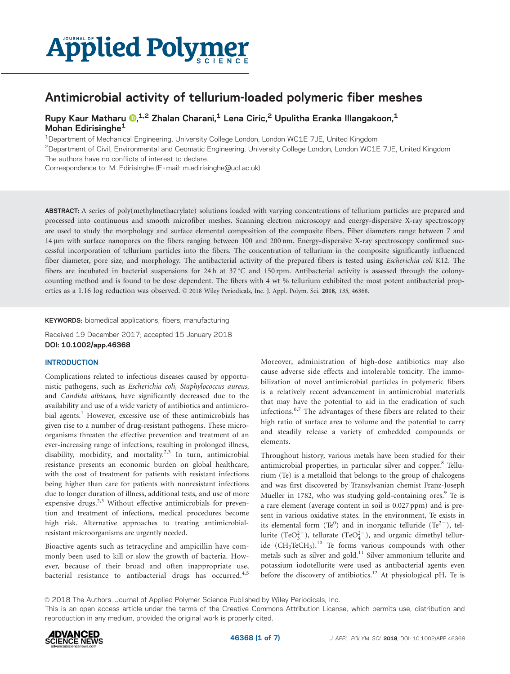# **Applied Polymer**

## Antimicrobial activity of tellurium-loaded polymeric fiber meshes

Rupy Kaur Matharu <mark>®[,](http://orcid.org/0000-0003-3687-5119)<sup>1,2</sup> Zhalan Charani,<sup>1</sup> Lena Ciric,<sup>2</sup> Upulitha Eranka Illangakoon,<sup>1</sup></mark> Mohan Edirisinghe<sup>1</sup>

1Department of Mechanical Engineering, University College London, London WC1E 7JE, United Kingdom

2Department of Civil, Environmental and Geomatic Engineering, University College London, London WC1E 7JE, United Kingdom

The authors have no conflicts of interest to declare.

Correspondence to: M. Edirisinghe (E -mail: m.edirisinghe@ucl.ac.uk)

ABSTRACT: A series of poly(methylmethacrylate) solutions loaded with varying concentrations of tellurium particles are prepared and processed into continuous and smooth microfiber meshes. Scanning electron microscopy and energy-dispersive X-ray spectroscopy are used to study the morphology and surface elemental composition of the composite fibers. Fiber diameters range between 7 and 14 mm with surface nanopores on the fibers ranging between 100 and 200 nm. Energy-dispersive X-ray spectroscopy confirmed successful incorporation of tellurium particles into the fibers. The concentration of tellurium in the composite significantly influenced fiber diameter, pore size, and morphology. The antibacterial activity of the prepared fibers is tested using *Escherichia coli* K12. The fibers are incubated in bacterial suspensions for 24h at  $37^{\circ}$ C and 150 rpm. Antibacterial activity is assessed through the colonycounting method and is found to be dose dependent. The fibers with 4 wt % tellurium exhibited the most potent antibacterial properties as a 1.16 log reduction was observed.  $\odot$  2018 Wiley Periodicals, Inc. J. Appl. Polym. Sci. 2018, 135, 46368.

KEYWORDS: biomedical applications; fibers; manufacturing

Received 19 December 2017; accepted 15 January 2018 DOI: 10.1002/app.46368

#### INTRODUCTION

Complications related to infectious diseases caused by opportunistic pathogens, such as Escherichia coli, Staphylococcus aureus, and Candida albicans, have significantly decreased due to the availability and use of a wide variety of antibiotics and antimicrobial agents.<sup>1</sup> However, excessive use of these antimicrobials has given rise to a number of drug-resistant pathogens. These microorganisms threaten the effective prevention and treatment of an ever-increasing range of infections, resulting in prolonged illness, disability, morbidity, and mortality.<sup>2,3</sup> In turn, antimicrobial resistance presents an economic burden on global healthcare, with the cost of treatment for patients with resistant infections being higher than care for patients with nonresistant infections due to longer duration of illness, additional tests, and use of more expensive drugs.<sup>2,3</sup> Without effective antimicrobials for prevention and treatment of infections, medical procedures become high risk. Alternative approaches to treating antimicrobialresistant microorganisms are urgently needed.

Bioactive agents such as tetracycline and ampicillin have commonly been used to kill or slow the growth of bacteria. However, because of their broad and often inappropriate use, bacterial resistance to antibacterial drugs has occurred.<sup>4,5</sup> Moreover, administration of high-dose antibiotics may also cause adverse side effects and intolerable toxicity. The immobilization of novel antimicrobial particles in polymeric fibers is a relatively recent advancement in antimicrobial materials that may have the potential to aid in the eradication of such infections.<sup>6,7</sup> The advantages of these fibers are related to their high ratio of surface area to volume and the potential to carry and steadily release a variety of embedded compounds or elements.

Throughout history, various metals have been studied for their antimicrobial properties, in particular silver and copper.<sup>8</sup> Tellurium (Te) is a metalloid that belongs to the group of chalcogens and was first discovered by Transylvanian chemist Franz-Joseph Mueller in 1782, who was studying gold-containing ores.<sup>9</sup> Te is a rare element (average content in soil is 0.027 ppm) and is present in various oxidative states. In the environment, Te exists in its elemental form (Te<sup>0</sup>) and in inorganic telluride (Te<sup>2-</sup>), tellurite (TeO $_3^{2-}$ ), tellurate (TeO $_4^{2-}$ ), and organic dimethyl telluride  $(CH_3TeCH_3)$ .<sup>10</sup> Te forms various compounds with other metals such as silver and gold.<sup>11</sup> Silver ammonium tellurite and potassium iodotellurite were used as antibacterial agents even before the discovery of antibiotics.<sup>12</sup> At physiological pH, Te is

 $\odot$  2018 The Authors. Journal of Applied Polymer Science Published by Wiley Periodicals, Inc.

This is an open access article under the terms of the Creative Commons Attribution License, which permits use, distribution and reproduction in any medium, provided the original work is properly cited.

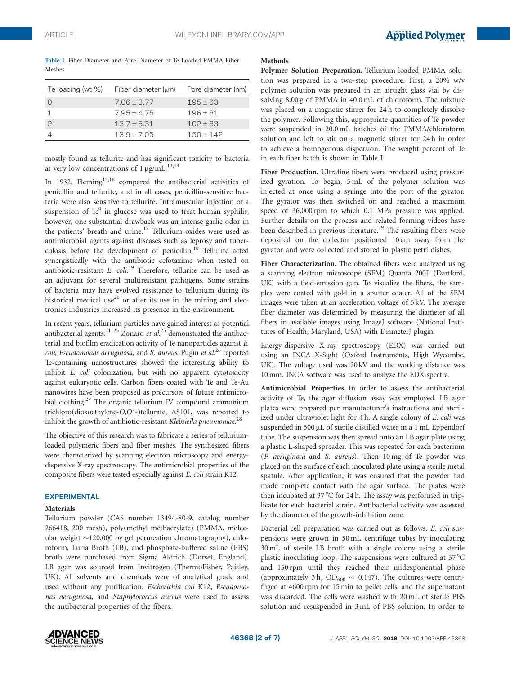|        |  |  |  | Table I. Fiber Diameter and Pore Diameter of Te-Loaded PMMA Fiber |  |
|--------|--|--|--|-------------------------------------------------------------------|--|
| Meshes |  |  |  |                                                                   |  |

| Te loading (wt %) | Fiber diameter $(\mu m)$ | Pore diameter (nm) |
|-------------------|--------------------------|--------------------|
|                   | $7.06 \pm 3.77$          | $195 \pm 63$       |
|                   | $7.95 + 4.75$            | $196 + 81$         |
| $\mathcal{P}$     | $13.7 \pm 5.31$          | $102 + 83$         |
|                   | $139 + 705$              | $150 + 142$        |

mostly found as tellurite and has significant toxicity to bacteria at very low concentrations of  $1 \mu g/mL$ .<sup>13,14</sup>

In 1932, Fleming<sup>15,16</sup> compared the antibacterial activities of penicillin and tellurite, and in all cases, penicillin-sensitive bacteria were also sensitive to tellurite. Intramuscular injection of a suspension of  $Te^{0}$  in glucose was used to treat human syphilis; however, one substantial drawback was an intense garlic odor in the patients' breath and urine.<sup>17</sup> Tellurium oxides were used as antimicrobial agents against diseases such as leprosy and tuberculosis before the development of penicillin.<sup>18</sup> Tellurite acted synergistically with the antibiotic cefotaxime when tested on antibiotic-resistant E. coli.<sup>19</sup> Therefore, tellurite can be used as an adjuvant for several multiresistant pathogens. Some strains of bacteria may have evolved resistance to tellurium during its historical medical use<sup>20</sup> or after its use in the mining and electronics industries increased its presence in the environment.

In recent years, tellurium particles have gained interest as potential antibacterial agents.<sup>21-25</sup> Zonaro et  $al$ <sup>25</sup> demonstrated the antibacterial and biofilm eradication activity of Te nanoparticles against E. coli, Pseudomonas aeruginosa, and S. aureus. Pugin et al.<sup>26</sup> reported Te-containing nanostructures showed the interesting ability to inhibit E. coli colonization, but with no apparent cytotoxicity against eukaryotic cells. Carbon fibers coated with Te and Te-Au nanowires have been proposed as precursors of future antimicrobial clothing.27 The organic tellurium IV compound ammonium trichloro(dioxoethylene-O,O'-)tellurate, AS101, was reported to inhibit the growth of antibiotic-resistant Klebsiella pneumoniae.<sup>28</sup>

The objective of this research was to fabricate a series of telluriumloaded polymeric fibers and fiber meshes. The synthesized fibers were characterized by scanning electron microscopy and energydispersive X-ray spectroscopy. The antimicrobial properties of the composite fibers were tested especially against E. coli strain K12.

#### EXPERIMENTAL

#### Materials

Tellurium powder (CAS number 13494-80-9, catalog number 266418, 200 mesh), poly(methyl methacrylate) (PMMA, molecular weight ~120,000 by gel permeation chromatography), chloroform, Luria Broth (LB), and phosphate-buffered saline (PBS) broth were purchased from Sigma Aldrich (Dorset, England). LB agar was sourced from Invitrogen (ThermoFisher, Paisley, UK). All solvents and chemicals were of analytical grade and used without any purification. Escherichia coli K12, Pseudomonas aeruginosa, and Staphylococcus aureus were used to assess the antibacterial properties of the fibers.

#### Methods

Polymer Solution Preparation. Tellurium-loaded PMMA solution was prepared in a two-step procedure. First, a 20% w/v polymer solution was prepared in an airtight glass vial by dissolving 8.00 g of PMMA in 40.0 mL of chloroform. The mixture was placed on a magnetic stirrer for 24 h to completely dissolve the polymer. Following this, appropriate quantities of Te powder were suspended in 20.0 mL batches of the PMMA/chloroform solution and left to stir on a magnetic stirrer for 24 h in order to achieve a homogenous dispersion. The weight percent of Te in each fiber batch is shown in Table I.

Fiber Production. Ultrafine fibers were produced using pressurized gyration. To begin, 5 mL of the polymer solution was injected at once using a syringe into the port of the gyrator. The gyrator was then switched on and reached a maximum speed of 36,000 rpm to which 0.1 MPa pressure was applied. Further details on the process and related forming videos have been described in previous literature.<sup>29</sup> The resulting fibers were deposited on the collector positioned 10 cm away from the gyrator and were collected and stored in plastic petri dishes.

Fiber Characterization. The obtained fibers were analyzed using a scanning electron microscope (SEM) Quanta 200F (Dartford, UK) with a field-emission gun. To visualize the fibers, the samples were coated with gold in a sputter coater. All of the SEM images were taken at an acceleration voltage of 5 kV. The average fiber diameter was determined by measuring the diameter of all fibers in available images using ImageJ software (National Institutes of Health, Maryland, USA) with DiameterJ plugin.

Energy-dispersive X-ray spectroscopy (EDX) was carried out using an INCA X-Sight (Oxford Instruments, High Wycombe, UK). The voltage used was 20 kV and the working distance was 10 mm. INCA software was used to analyze the EDX spectra.

Antimicrobial Properties. In order to assess the antibacterial activity of Te, the agar diffusion assay was employed. LB agar plates were prepared per manufacturer's instructions and sterilized under ultraviolet light for 4 h. A single colony of E. coli was suspended in 500  $\mu$ L of sterile distilled water in a 1 mL Eppendorf tube. The suspension was then spread onto an LB agar plate using a plastic L-shaped spreader. This was repeated for each bacterium (P. aeruginosa and S. aureus). Then 10 mg of Te powder was placed on the surface of each inoculated plate using a sterile metal spatula. After application, it was ensured that the powder had made complete contact with the agar surface. The plates were then incubated at 37 °C for 24 h. The assay was performed in triplicate for each bacterial strain. Antibacterial activity was assessed by the diameter of the growth-inhibition zone.

Bacterial cell preparation was carried out as follows. E. coli suspensions were grown in 50 mL centrifuge tubes by inoculating 30 mL of sterile LB broth with a single colony using a sterile plastic inoculating loop. The suspensions were cultured at  $37^{\circ}$ C and 150 rpm until they reached their midexponential phase (approximately 3 h,  $OD_{600} \sim 0.147$ ). The cultures were centrifuged at 4600 rpm for 15 min to pellet cells, and the supernatant was discarded. The cells were washed with 20 mL of sterile PBS solution and resuspended in 3 mL of PBS solution. In order to

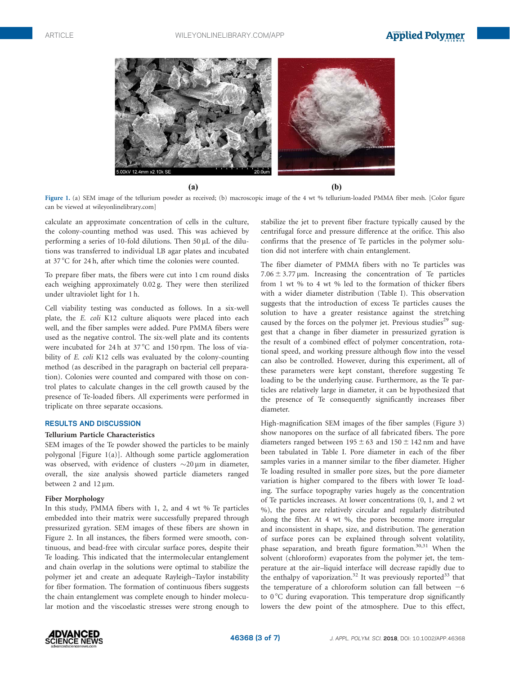

 $(b)$ 

Figure 1. (a) SEM image of the tellurium powder as received; (b) macroscopic image of the 4 wt % tellurium-loaded PMMA fiber mesh. [Color figure can be viewed at [wileyonlinelibrary.com\]](http://wileyonlinelibrary.com)

calculate an approximate concentration of cells in the culture, the colony-counting method was used. This was achieved by performing a series of 10-fold dilutions. Then 50  $\mu$ L of the dilutions was transferred to individual LB agar plates and incubated at 37 °C for 24 h, after which time the colonies were counted.

 $(a)$ 

To prepare fiber mats, the fibers were cut into 1 cm round disks each weighing approximately 0.02 g. They were then sterilized under ultraviolet light for 1 h.

Cell viability testing was conducted as follows. In a six-well plate, the E. coli K12 culture aliquots were placed into each well, and the fiber samples were added. Pure PMMA fibers were used as the negative control. The six-well plate and its contents were incubated for 24 h at  $37^{\circ}$ C and 150 rpm. The loss of viability of *E. coli* K12 cells was evaluated by the colony-counting method (as described in the paragraph on bacterial cell preparation). Colonies were counted and compared with those on control plates to calculate changes in the cell growth caused by the presence of Te-loaded fibers. All experiments were performed in triplicate on three separate occasions.

#### RESULTS AND DISCUSSION

#### Tellurium Particle Characteristics

SEM images of the Te powder showed the particles to be mainly polygonal [Figure 1(a)]. Although some particle agglomeration was observed, with evidence of clusters  $\sim$ 20 µm in diameter, overall, the size analysis showed particle diameters ranged between 2 and  $12 \mu m$ .

#### Fiber Morphology

In this study, PMMA fibers with 1, 2, and 4 wt % Te particles embedded into their matrix were successfully prepared through pressurized gyration. SEM images of these fibers are shown in Figure 2. In all instances, the fibers formed were smooth, continuous, and bead-free with circular surface pores, despite their Te loading. This indicated that the intermolecular entanglement and chain overlap in the solutions were optimal to stabilize the polymer jet and create an adequate Rayleigh–Taylor instability for fiber formation. The formation of continuous fibers suggests the chain entanglement was complete enough to hinder molecular motion and the viscoelastic stresses were strong enough to

stabilize the jet to prevent fiber fracture typically caused by the centrifugal force and pressure difference at the orifice. This also confirms that the presence of Te particles in the polymer solution did not interfere with chain entanglement.

The fiber diameter of PMMA fibers with no Te particles was  $7.06 \pm 3.77 \,\mu$ m. Increasing the concentration of Te particles from 1 wt % to 4 wt % led to the formation of thicker fibers with a wider diameter distribution (Table I). This observation suggests that the introduction of excess Te particles causes the solution to have a greater resistance against the stretching caused by the forces on the polymer jet. Previous studies<sup>29</sup> suggest that a change in fiber diameter in pressurized gyration is the result of a combined effect of polymer concentration, rotational speed, and working pressure although flow into the vessel can also be controlled. However, during this experiment, all of these parameters were kept constant, therefore suggesting Te loading to be the underlying cause. Furthermore, as the Te particles are relatively large in diameter, it can be hypothesized that the presence of Te consequently significantly increases fiber diameter.

High-magnification SEM images of the fiber samples (Figure 3) show nanopores on the surface of all fabricated fibers. The pore diameters ranged between  $195 \pm 63$  and  $150 \pm 142$  nm and have been tabulated in Table I. Pore diameter in each of the fiber samples varies in a manner similar to the fiber diameter. Higher Te loading resulted in smaller pore sizes, but the pore diameter variation is higher compared to the fibers with lower Te loading. The surface topography varies hugely as the concentration of Te particles increases. At lower concentrations (0, 1, and 2 wt %), the pores are relatively circular and regularly distributed along the fiber. At 4 wt %, the pores become more irregular and inconsistent in shape, size, and distribution. The generation of surface pores can be explained through solvent volatility, phase separation, and breath figure formation.<sup>30,31</sup> When the solvent (chloroform) evaporates from the polymer jet, the temperature at the air–liquid interface will decrease rapidly due to the enthalpy of vaporization.<sup>32</sup> It was previously reported<sup>33</sup> that the temperature of a chloroform solution can fall between  $-6$ to  $0^{\circ}$ C during evaporation. This temperature drop significantly lowers the dew point of the atmosphere. Due to this effect,

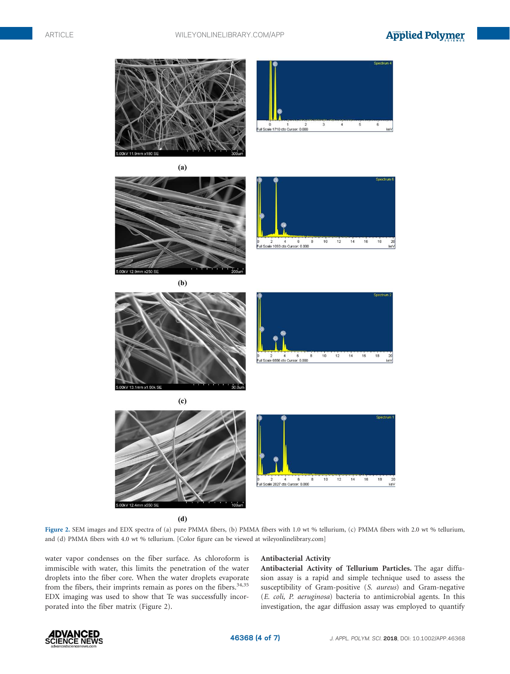### **Applied Polymer**



 $(d)$ 

Figure 2. SEM images and EDX spectra of (a) pure PMMA fibers, (b) PMMA fibers with 1.0 wt % tellurium, (c) PMMA fibers with 2.0 wt % tellurium, and (d) PMMA fibers with 4.0 wt % tellurium. [Color figure can be viewed at [wileyonlinelibrary.com\]](http://wileyonlinelibrary.com)

water vapor condenses on the fiber surface. As chloroform is immiscible with water, this limits the penetration of the water droplets into the fiber core. When the water droplets evaporate from the fibers, their imprints remain as pores on the fibers.<sup>34,35</sup> EDX imaging was used to show that Te was successfully incorporated into the fiber matrix (Figure 2).

#### Antibacterial Activity

Antibacterial Activity of Tellurium Particles. The agar diffusion assay is a rapid and simple technique used to assess the susceptibility of Gram-positive (S. aureus) and Gram-negative (E. coli, P. aeruginosa) bacteria to antimicrobial agents. In this investigation, the agar diffusion assay was employed to quantify

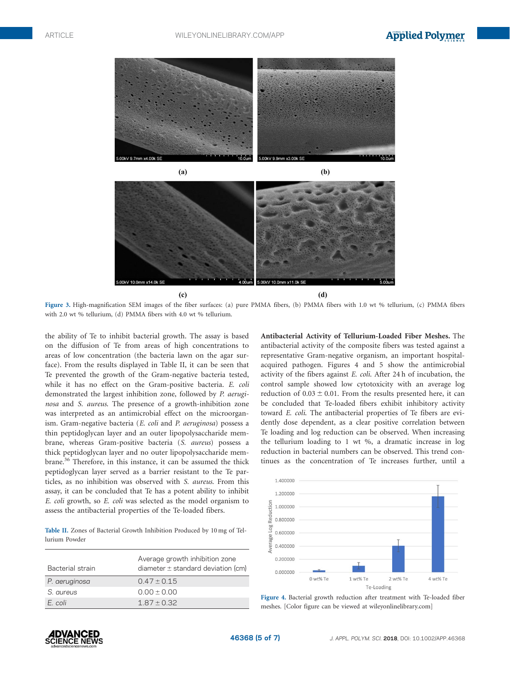



Figure 3. High-magnification SEM images of the fiber surfaces: (a) pure PMMA fibers, (b) PMMA fibers with 1.0 wt % tellurium, (c) PMMA fibers with 2.0 wt % tellurium, (d) PMMA fibers with 4.0 wt % tellurium.

the ability of Te to inhibit bacterial growth. The assay is based on the diffusion of Te from areas of high concentrations to areas of low concentration (the bacteria lawn on the agar surface). From the results displayed in Table II, it can be seen that Te prevented the growth of the Gram-negative bacteria tested, while it has no effect on the Gram-positive bacteria. E. coli demonstrated the largest inhibition zone, followed by P. aeruginosa and S. aureus. The presence of a growth-inhibition zone was interpreted as an antimicrobial effect on the microorganism. Gram-negative bacteria (E. coli and P. aeruginosa) possess a thin peptidoglycan layer and an outer lipopolysaccharide membrane, whereas Gram-positive bacteria (S. aureus) possess a thick peptidoglycan layer and no outer lipopolysaccharide membrane.36 Therefore, in this instance, it can be assumed the thick peptidoglycan layer served as a barrier resistant to the Te particles, as no inhibition was observed with S. aureus. From this assay, it can be concluded that Te has a potent ability to inhibit E. coli growth, so E. coli was selected as the model organism to assess the antibacterial properties of the Te-loaded fibers.

Table II. Zones of Bacterial Growth Inhibition Produced by 10 mg of Tellurium Powder

| Bacterial strain | Average growth inhibition zone<br>diameter $\pm$ standard deviation (cm) |
|------------------|--------------------------------------------------------------------------|
| P. aeruginosa    | $0.47 \pm 0.15$                                                          |
| S. aureus        | $0.00 \pm 0.00$                                                          |
| E coli           | $1.87 \pm 0.32$                                                          |

Antibacterial Activity of Tellurium-Loaded Fiber Meshes. The antibacterial activity of the composite fibers was tested against a representative Gram-negative organism, an important hospitalacquired pathogen. Figures 4 and 5 show the antimicrobial activity of the fibers against E. coli. After 24 h of incubation, the control sample showed low cytotoxicity with an average log reduction of  $0.03 \pm 0.01$ . From the results presented here, it can be concluded that Te-loaded fibers exhibit inhibitory activity toward E. coli. The antibacterial properties of Te fibers are evidently dose dependent, as a clear positive correlation between Te loading and log reduction can be observed. When increasing the tellurium loading to 1 wt %, a dramatic increase in log reduction in bacterial numbers can be observed. This trend continues as the concentration of Te increases further, until a



Figure 4. Bacterial growth reduction after treatment with Te-loaded fiber meshes. [Color figure can be viewed at [wileyonlinelibrary.com\]](http://wileyonlinelibrary.com)

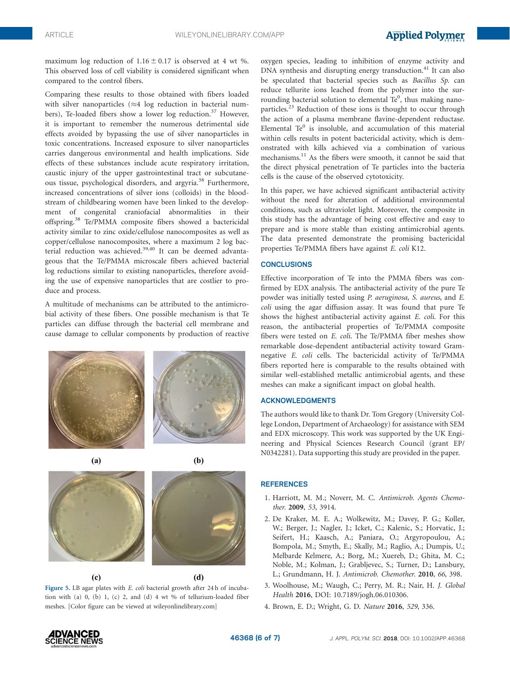maximum log reduction of  $1.16 \pm 0.17$  is observed at 4 wt %. This observed loss of cell viability is considered significant when compared to the control fibers.

Comparing these results to those obtained with fibers loaded with silver nanoparticles  $(\approx 4 \text{ log reduction in bacterial num--}$ bers), Te-loaded fibers show a lower log reduction.<sup>37</sup> However, it is important to remember the numerous detrimental side effects avoided by bypassing the use of silver nanoparticles in toxic concentrations. Increased exposure to silver nanoparticles carries dangerous environmental and health implications. Side effects of these substances include acute respiratory irritation, caustic injury of the upper gastrointestinal tract or subcutaneous tissue, psychological disorders, and argyria.38 Furthermore, increased concentrations of silver ions (colloids) in the bloodstream of childbearing women have been linked to the development of congenital craniofacial abnormalities in their offspring.<sup>38</sup> Te/PMMA composite fibers showed a bactericidal activity similar to zinc oxide/cellulose nanocomposites as well as copper/cellulose nanocomposites, where a maximum 2 log bacterial reduction was achieved.39,40 It can be deemed advantageous that the Te/PMMA microscale fibers achieved bacterial log reductions similar to existing nanoparticles, therefore avoiding the use of expensive nanoparticles that are costlier to produce and process.

A multitude of mechanisms can be attributed to the antimicrobial activity of these fibers. One possible mechanism is that Te particles can diffuse through the bacterial cell membrane and cause damage to cellular components by production of reactive



 $(a)$ 

 $(c)$ 





Figure 5. LB agar plates with E. coli bacterial growth after 24 h of incubation with (a) 0, (b) 1, (c) 2, and (d) 4 wt % of tellurium-loaded fiber meshes. [Color figure can be viewed at [wileyonlinelibrary.com\]](http://wileyonlinelibrary.com)

oxygen species, leading to inhibition of enzyme activity and DNA synthesis and disrupting energy transduction.<sup>41</sup> It can also be speculated that bacterial species such as Bacillus Sp. can reduce tellurite ions leached from the polymer into the surrounding bacterial solution to elemental  $Te^{0}$ , thus making nanoparticles.<sup>23</sup> Reduction of these ions is thought to occur through the action of a plasma membrane flavine-dependent reductase. Elemental  $Te^{0}$  is insoluble, and accumulation of this material within cells results in potent bactericidal activity, which is demonstrated with kills achieved via a combination of various mechanisms.<sup>11</sup> As the fibers were smooth, it cannot be said that the direct physical penetration of Te particles into the bacteria cells is the cause of the observed cytotoxicity.

In this paper, we have achieved significant antibacterial activity without the need for alteration of additional environmental conditions, such as ultraviolet light. Moreover, the composite in this study has the advantage of being cost effective and easy to prepare and is more stable than existing antimicrobial agents. The data presented demonstrate the promising bactericidal properties Te/PMMA fibers have against E. coli K12.

#### **CONCLUSIONS**

Effective incorporation of Te into the PMMA fibers was confirmed by EDX analysis. The antibacterial activity of the pure Te powder was initially tested using P. aeruginosa, S. aureus, and E. coli using the agar diffusion assay. It was found that pure Te shows the highest antibacterial activity against E. coli. For this reason, the antibacterial properties of Te/PMMA composite fibers were tested on E. coli. The Te/PMMA fiber meshes show remarkable dose-dependent antibacterial activity toward Gramnegative E. coli cells. The bactericidal activity of Te/PMMA fibers reported here is comparable to the results obtained with similar well-established metallic antimicrobial agents, and these meshes can make a significant impact on global health.

#### ACKNOWLEDGMENTS

The authors would like to thank Dr. Tom Gregory (University College London, Department of Archaeology) for assistance with SEM and EDX microscopy. This work was supported by the UK Engineering and Physical Sciences Research Council (grant EP/ N0342281). Data supporting this study are provided in the paper.

#### **REFERENCES**

- 1. Harriott, M. M.; Noverr, M. C. Antimicrob. Agents Chemother. 2009, 53, 3914.
- 2. De Kraker, M. E. A.; Wolkewitz, M.; Davey, P. G.; Koller, W.; Berger, J.; Nagler, J.; Icket, C.; Kalenic, S.; Horvatic, J.; Seifert, H.; Kaasch, A.; Paniara, O.; Argyropoulou, A.; Bompola, M.; Smyth, E.; Skally, M.; Raglio, A.; Dumpis, U.; Melbarde Kelmere, A.; Borg, M.; Xuereb, D.; Ghita, M. C.; Noble, M.; Kolman, J.; Grabljevec, S.; Turner, D.; Lansbury, L.; Grundmann, H. J. Antimicrob. Chemother. 2010, 66, 398.
- 3. Woolhouse, M.; Waugh, C.; Perry, M. R.; Nair, H. J. Global Health 2016, DOI: [10.7189/jogh.06.010306](info:doi/10.7189/jogh.06.010306).
- 4. Brown, E. D.; Wright, G. D. Nature 2016, 529, 336.